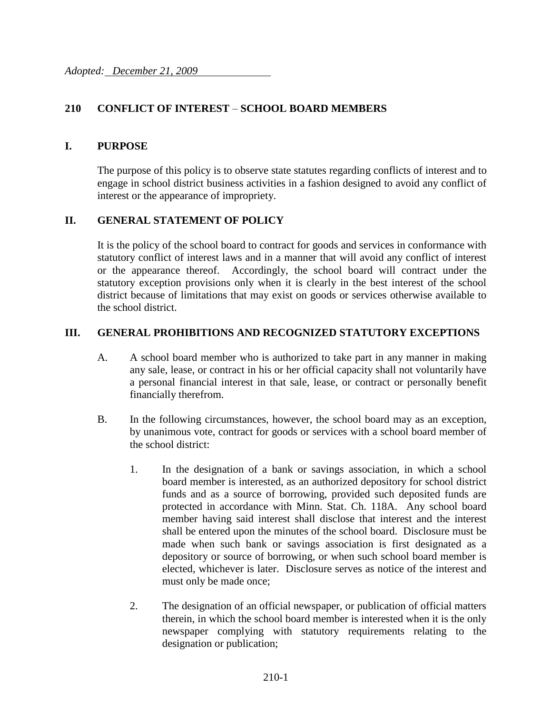## **210 CONFLICT OF INTEREST** – **SCHOOL BOARD MEMBERS**

#### **I. PURPOSE**

The purpose of this policy is to observe state statutes regarding conflicts of interest and to engage in school district business activities in a fashion designed to avoid any conflict of interest or the appearance of impropriety.

#### **II. GENERAL STATEMENT OF POLICY**

It is the policy of the school board to contract for goods and services in conformance with statutory conflict of interest laws and in a manner that will avoid any conflict of interest or the appearance thereof. Accordingly, the school board will contract under the statutory exception provisions only when it is clearly in the best interest of the school district because of limitations that may exist on goods or services otherwise available to the school district.

#### **III. GENERAL PROHIBITIONS AND RECOGNIZED STATUTORY EXCEPTIONS**

- A. A school board member who is authorized to take part in any manner in making any sale, lease, or contract in his or her official capacity shall not voluntarily have a personal financial interest in that sale, lease, or contract or personally benefit financially therefrom.
- B. In the following circumstances, however, the school board may as an exception, by unanimous vote, contract for goods or services with a school board member of the school district:
	- 1. In the designation of a bank or savings association, in which a school board member is interested, as an authorized depository for school district funds and as a source of borrowing, provided such deposited funds are protected in accordance with Minn. Stat. Ch. 118A. Any school board member having said interest shall disclose that interest and the interest shall be entered upon the minutes of the school board. Disclosure must be made when such bank or savings association is first designated as a depository or source of borrowing, or when such school board member is elected, whichever is later. Disclosure serves as notice of the interest and must only be made once;
	- 2. The designation of an official newspaper, or publication of official matters therein, in which the school board member is interested when it is the only newspaper complying with statutory requirements relating to the designation or publication;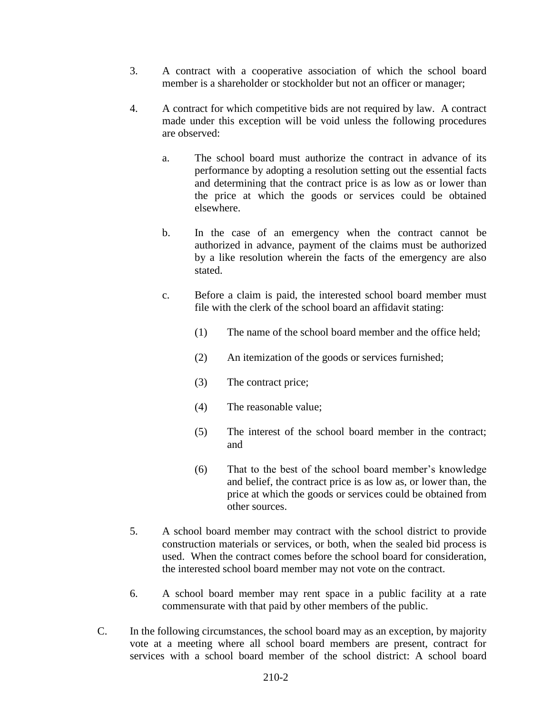- 3. A contract with a cooperative association of which the school board member is a shareholder or stockholder but not an officer or manager;
- 4. A contract for which competitive bids are not required by law. A contract made under this exception will be void unless the following procedures are observed:
	- a. The school board must authorize the contract in advance of its performance by adopting a resolution setting out the essential facts and determining that the contract price is as low as or lower than the price at which the goods or services could be obtained elsewhere.
	- b. In the case of an emergency when the contract cannot be authorized in advance, payment of the claims must be authorized by a like resolution wherein the facts of the emergency are also stated.
	- c. Before a claim is paid, the interested school board member must file with the clerk of the school board an affidavit stating:
		- (1) The name of the school board member and the office held;
		- (2) An itemization of the goods or services furnished;
		- (3) The contract price;
		- (4) The reasonable value;
		- (5) The interest of the school board member in the contract; and
		- (6) That to the best of the school board member's knowledge and belief, the contract price is as low as, or lower than, the price at which the goods or services could be obtained from other sources.
- 5. A school board member may contract with the school district to provide construction materials or services, or both, when the sealed bid process is used. When the contract comes before the school board for consideration, the interested school board member may not vote on the contract.
- 6. A school board member may rent space in a public facility at a rate commensurate with that paid by other members of the public.
- C. In the following circumstances, the school board may as an exception, by majority vote at a meeting where all school board members are present, contract for services with a school board member of the school district: A school board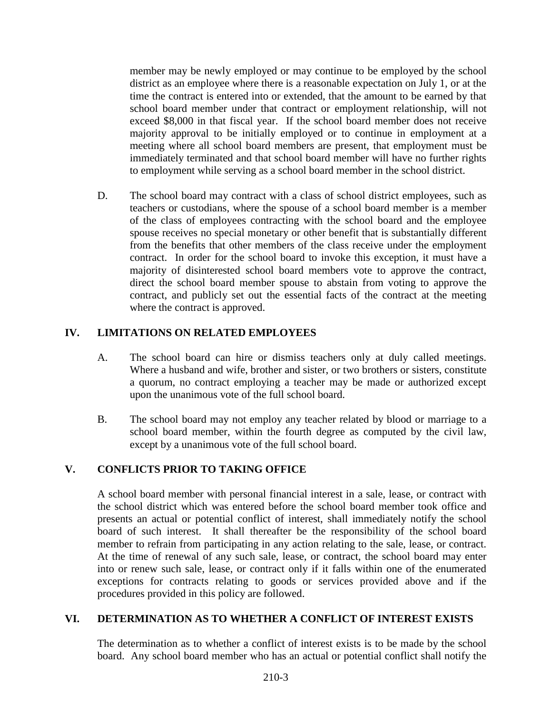member may be newly employed or may continue to be employed by the school district as an employee where there is a reasonable expectation on July 1, or at the time the contract is entered into or extended, that the amount to be earned by that school board member under that contract or employment relationship, will not exceed \$8,000 in that fiscal year. If the school board member does not receive majority approval to be initially employed or to continue in employment at a meeting where all school board members are present, that employment must be immediately terminated and that school board member will have no further rights to employment while serving as a school board member in the school district.

D. The school board may contract with a class of school district employees, such as teachers or custodians, where the spouse of a school board member is a member of the class of employees contracting with the school board and the employee spouse receives no special monetary or other benefit that is substantially different from the benefits that other members of the class receive under the employment contract. In order for the school board to invoke this exception, it must have a majority of disinterested school board members vote to approve the contract, direct the school board member spouse to abstain from voting to approve the contract, and publicly set out the essential facts of the contract at the meeting where the contract is approved.

## **IV. LIMITATIONS ON RELATED EMPLOYEES**

- A. The school board can hire or dismiss teachers only at duly called meetings. Where a husband and wife, brother and sister, or two brothers or sisters, constitute a quorum, no contract employing a teacher may be made or authorized except upon the unanimous vote of the full school board.
- B. The school board may not employ any teacher related by blood or marriage to a school board member, within the fourth degree as computed by the civil law, except by a unanimous vote of the full school board.

# **V. CONFLICTS PRIOR TO TAKING OFFICE**

A school board member with personal financial interest in a sale, lease, or contract with the school district which was entered before the school board member took office and presents an actual or potential conflict of interest, shall immediately notify the school board of such interest. It shall thereafter be the responsibility of the school board member to refrain from participating in any action relating to the sale, lease, or contract. At the time of renewal of any such sale, lease, or contract, the school board may enter into or renew such sale, lease, or contract only if it falls within one of the enumerated exceptions for contracts relating to goods or services provided above and if the procedures provided in this policy are followed.

### **VI. DETERMINATION AS TO WHETHER A CONFLICT OF INTEREST EXISTS**

The determination as to whether a conflict of interest exists is to be made by the school board. Any school board member who has an actual or potential conflict shall notify the